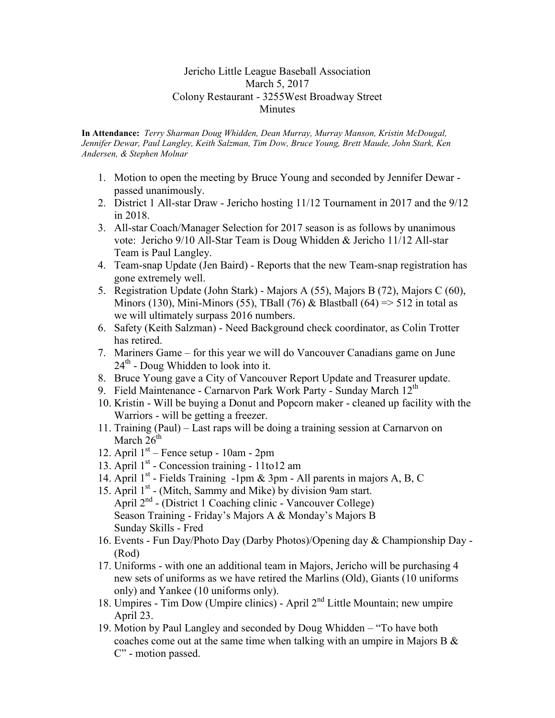## Jericho Little League Baseball Association March 5, 2017 Colony Restaurant - 3255West Broadway Street Minutes

**In Attendance:** *Terry Sharman Doug Whidden, Dean Murray, Murray Manson, Kristin McDougal, Jennifer Dewar, Paul Langley, Keith Salzman, Tim Dow, Bruce Young, Brett Maude, John Stark, Ken Andersen, & Stephen Molnar*

- 1. Motion to open the meeting by Bruce Young and seconded by Jennifer Dewar passed unanimously.
- 2. District 1 All-star Draw Jericho hosting 11/12 Tournament in 2017 and the 9/12 in 2018.
- 3. All-star Coach/Manager Selection for 2017 season is as follows by unanimous vote: Jericho 9/10 All-Star Team is Doug Whidden & Jericho 11/12 All-star Team is Paul Langley.
- 4. Team-snap Update (Jen Baird) Reports that the new Team-snap registration has gone extremely well.
- 5. Registration Update (John Stark) Majors A (55), Majors B (72), Majors C (60), Minors (130), Mini-Minors (55), TBall (76) & Blastball (64)  $\Rightarrow$  512 in total as we will ultimately surpass 2016 numbers.
- 6. Safety (Keith Salzman) Need Background check coordinator, as Colin Trotter has retired.
- 7. Mariners Game for this year we will do Vancouver Canadians game on June  $24<sup>th</sup>$  - Doug Whidden to look into it.
- 8. Bruce Young gave a City of Vancouver Report Update and Treasurer update.
- 9. Field Maintenance Carnarvon Park Work Party Sunday March 12<sup>th</sup>
- 10. Kristin Will be buying a Donut and Popcorn maker cleaned up facility with the Warriors - will be getting a freezer.
- 11. Training (Paul) Last raps will be doing a training session at Carnarvon on March  $26<sup>th</sup>$
- 12. April  $1<sup>st</sup>$  Fence setup 10am 2pm
- 13. April 1<sup>st</sup> Concession training 11to12 am
- 14. April 1<sup>st</sup> Fields Training -1pm & 3pm All parents in majors A, B, C
- 15. April 1<sup>st</sup> (Mitch, Sammy and Mike) by division 9am start. April 2<sup>nd</sup> - (District 1 Coaching clinic - Vancouver College) Season Training - Friday's Majors A & Monday's Majors B Sunday Skills - Fred
- 16. Events Fun Day/Photo Day (Darby Photos)/Opening day & Championship Day (Rod)
- 17. Uniforms with one an additional team in Majors, Jericho will be purchasing 4 new sets of uniforms as we have retired the Marlins (Old), Giants (10 uniforms only) and Yankee (10 uniforms only).
- 18. Umpires Tim Dow (Umpire clinics) April 2nd Little Mountain; new umpire April 23.
- 19. Motion by Paul Langley and seconded by Doug Whidden "To have both coaches come out at the same time when talking with an umpire in Majors B & C" - motion passed.